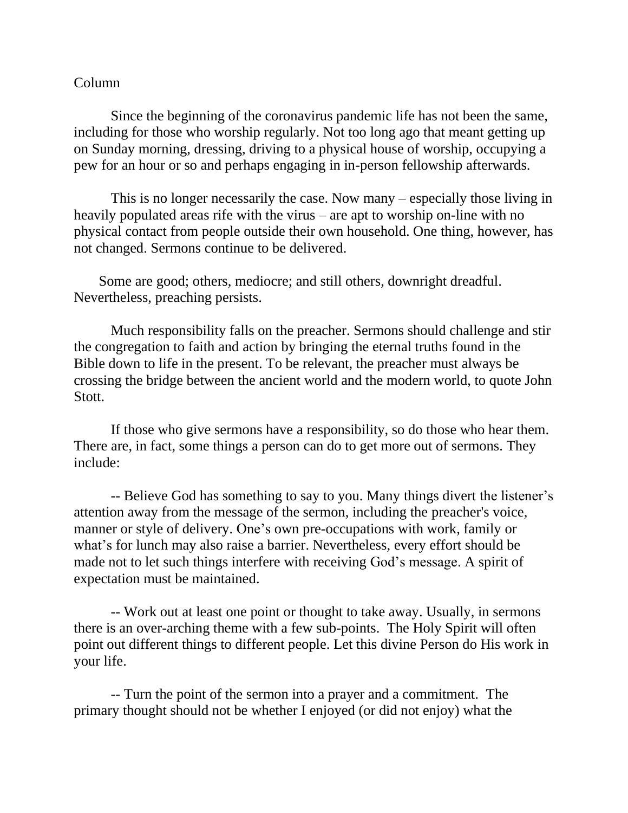## Column

Since the beginning of the coronavirus pandemic life has not been the same, including for those who worship regularly. Not too long ago that meant getting up on Sunday morning, dressing, driving to a physical house of worship, occupying a pew for an hour or so and perhaps engaging in in-person fellowship afterwards.

This is no longer necessarily the case. Now many – especially those living in heavily populated areas rife with the virus – are apt to worship on-line with no physical contact from people outside their own household. One thing, however, has not changed. Sermons continue to be delivered.

 Some are good; others, mediocre; and still others, downright dreadful. Nevertheless, preaching persists.

Much responsibility falls on the preacher. Sermons should challenge and stir the congregation to faith and action by bringing the eternal truths found in the Bible down to life in the present. To be relevant, the preacher must always be crossing the bridge between the ancient world and the modern world, to quote John Stott.

If those who give sermons have a responsibility, so do those who hear them. There are, in fact, some things a person can do to get more out of sermons. They include:

-- Believe God has something to say to you. Many things divert the listener's attention away from the message of the sermon, including the preacher's voice, manner or style of delivery. One's own pre-occupations with work, family or what's for lunch may also raise a barrier. Nevertheless, every effort should be made not to let such things interfere with receiving God's message. A spirit of expectation must be maintained.

-- Work out at least one point or thought to take away. Usually, in sermons there is an over-arching theme with a few sub-points. The Holy Spirit will often point out different things to different people. Let this divine Person do His work in your life.

-- Turn the point of the sermon into a prayer and a commitment. The primary thought should not be whether I enjoyed (or did not enjoy) what the